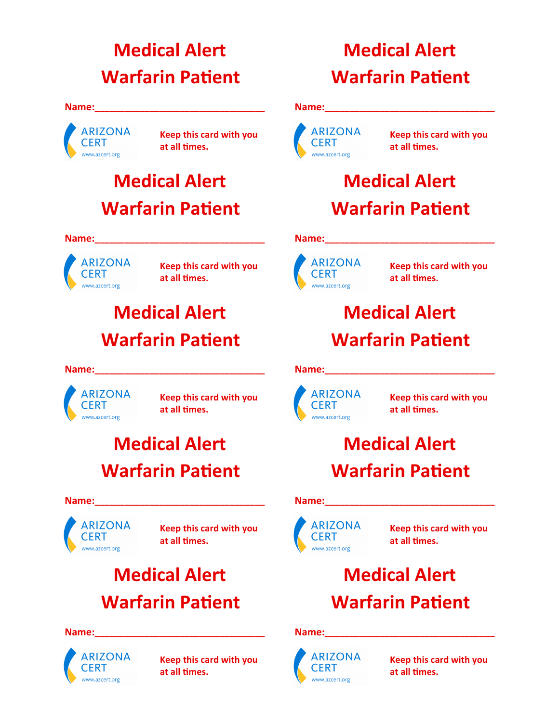# **Medical Alert Warfarin Patient**

#### **Name:**



**Keep this card with you at all times.** 

# **Medical Alert Warfarin Patient**

#### **Name:\_\_\_\_\_\_\_\_\_\_\_\_\_\_\_\_\_\_\_\_\_\_\_\_\_\_\_\_\_\_\_\_\_\_**



**Keep this card with you at all times.** 

# **Medical Alert Warfarin Patient**

## **Name:**

 **ARIZONA CERT** www.azcert.org

**Keep this card with you at all times.** 

# **Medical Alert Warfarin Patient**

### **Name:\_\_\_\_\_\_\_\_\_\_\_\_\_\_\_\_\_\_\_\_\_\_\_\_\_\_\_\_\_\_\_\_\_\_**



**Keep this card with you at all times.** 

## **Medical Alert Warfarin Patient**

### $Name:$



**Keep this card with you at all times.** 

# **Medical Alert Warfarin Patient**

### **Name:**



**Keep this card with you at all times.** 

# **Medical Alert Warfarin Patient**

### **Name:\_\_\_\_\_\_\_\_\_\_\_\_\_\_\_\_\_\_\_\_\_\_\_\_\_\_\_\_\_\_\_\_\_\_**



**Keep this card with you at all times.** 

# **Medical Alert Warfarin Patient**

## **Name:**



**Keep this card with you at all times.** 

# **Medical Alert Warfarin Patient**

### **Name:\_\_\_\_\_\_\_\_\_\_\_\_\_\_\_\_\_\_\_\_\_\_\_\_\_\_\_\_\_\_\_\_\_\_**



**Keep this card with you at all times.** 

# **Medical Alert Warfarin Patient**

## Name:



**Keep this card with you at all times.**